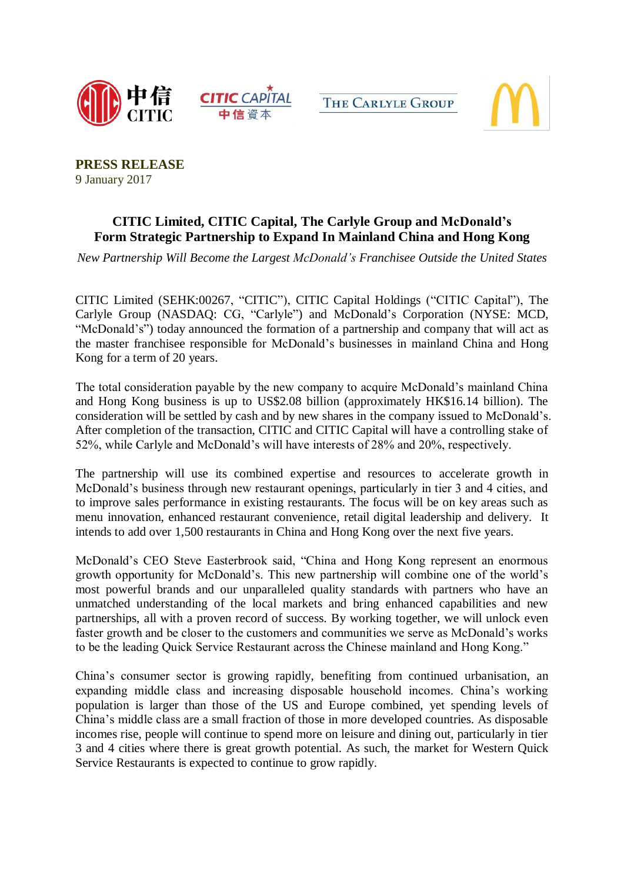







**PRESS RELEASE**  9 January 2017

# **CITIC Limited, CITIC Capital, The Carlyle Group and McDonald's Form Strategic Partnership to Expand In Mainland China and Hong Kong**

*New Partnership Will Become the Largest McDonald's Franchisee Outside the United States*

CITIC Limited (SEHK:00267, "CITIC"), CITIC Capital Holdings ("CITIC Capital"), The Carlyle Group (NASDAQ: CG, "Carlyle") and McDonald's Corporation (NYSE: MCD, "McDonald's") today announced the formation of a partnership and company that will act as the master franchisee responsible for McDonald's businesses in mainland China and Hong Kong for a term of 20 years.

The total consideration payable by the new company to acquire McDonald's mainland China and Hong Kong business is up to US\$2.08 billion (approximately HK\$16.14 billion). The consideration will be settled by cash and by new shares in the company issued to McDonald's. After completion of the transaction, CITIC and CITIC Capital will have a controlling stake of 52%, while Carlyle and McDonald's will have interests of 28% and 20%, respectively.

The partnership will use its combined expertise and resources to accelerate growth in McDonald's business through new restaurant openings, particularly in tier 3 and 4 cities, and to improve sales performance in existing restaurants. The focus will be on key areas such as menu innovation, enhanced restaurant convenience, retail digital leadership and delivery. It intends to add over 1,500 restaurants in China and Hong Kong over the next five years.

McDonald's CEO Steve Easterbrook said, "China and Hong Kong represent an enormous growth opportunity for McDonald's. This new partnership will combine one of the world's most powerful brands and our unparalleled quality standards with partners who have an unmatched understanding of the local markets and bring enhanced capabilities and new partnerships, all with a proven record of success. By working together, we will unlock even faster growth and be closer to the customers and communities we serve as McDonald's works to be the leading Quick Service Restaurant across the Chinese mainland and Hong Kong."

China's consumer sector is growing rapidly, benefiting from continued urbanisation, an expanding middle class and increasing disposable household incomes. China's working population is larger than those of the US and Europe combined, yet spending levels of China's middle class are a small fraction of those in more developed countries. As disposable incomes rise, people will continue to spend more on leisure and dining out, particularly in tier 3 and 4 cities where there is great growth potential. As such, the market for Western Quick Service Restaurants is expected to continue to grow rapidly.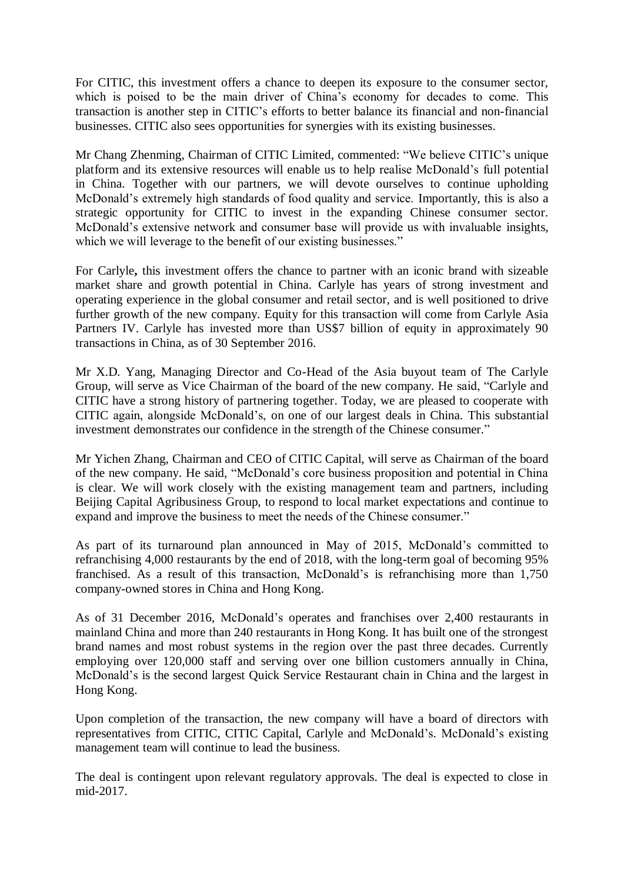For CITIC, this investment offers a chance to deepen its exposure to the consumer sector, which is poised to be the main driver of China's economy for decades to come. This transaction is another step in CITIC's efforts to better balance its financial and non-financial businesses. CITIC also sees opportunities for synergies with its existing businesses.

Mr Chang Zhenming, Chairman of CITIC Limited, commented: "We believe CITIC's unique platform and its extensive resources will enable us to help realise McDonald's full potential in China. Together with our partners, we will devote ourselves to continue upholding McDonald's extremely high standards of food quality and service. Importantly, this is also a strategic opportunity for CITIC to invest in the expanding Chinese consumer sector. McDonald's extensive network and consumer base will provide us with invaluable insights, which we will leverage to the benefit of our existing businesses."

For Carlyle**,** this investment offers the chance to partner with an iconic brand with sizeable market share and growth potential in China. Carlyle has years of strong investment and operating experience in the global consumer and retail sector, and is well positioned to drive further growth of the new company. Equity for this transaction will come from Carlyle Asia Partners IV. Carlyle has invested more than US\$7 billion of equity in approximately 90 transactions in China, as of 30 September 2016.

Mr X.D. Yang, Managing Director and Co-Head of the Asia buyout team of The Carlyle Group, will serve as Vice Chairman of the board of the new company. He said, "Carlyle and CITIC have a strong history of partnering together. Today, we are pleased to cooperate with CITIC again, alongside McDonald's, on one of our largest deals in China. This substantial investment demonstrates our confidence in the strength of the Chinese consumer."

Mr Yichen Zhang, Chairman and CEO of CITIC Capital, will serve as Chairman of the board of the new company. He said, "McDonald's core business proposition and potential in China is clear. We will work closely with the existing management team and partners, including Beijing Capital Agribusiness Group, to respond to local market expectations and continue to expand and improve the business to meet the needs of the Chinese consumer."

As part of its turnaround plan announced in May of 2015, McDonald's committed to refranchising 4,000 restaurants by the end of 2018, with the long-term goal of becoming 95% franchised. As a result of this transaction, McDonald's is refranchising more than 1,750 company-owned stores in China and Hong Kong.

As of 31 December 2016, McDonald's operates and franchises over 2,400 restaurants in mainland China and more than 240 restaurants in Hong Kong. It has built one of the strongest brand names and most robust systems in the region over the past three decades. Currently employing over 120,000 staff and serving over one billion customers annually in China, McDonald's is the second largest Quick Service Restaurant chain in China and the largest in Hong Kong.

Upon completion of the transaction, the new company will have a board of directors with representatives from CITIC, CITIC Capital, Carlyle and McDonald's. McDonald's existing management team will continue to lead the business.

The deal is contingent upon relevant regulatory approvals. The deal is expected to close in mid-2017.